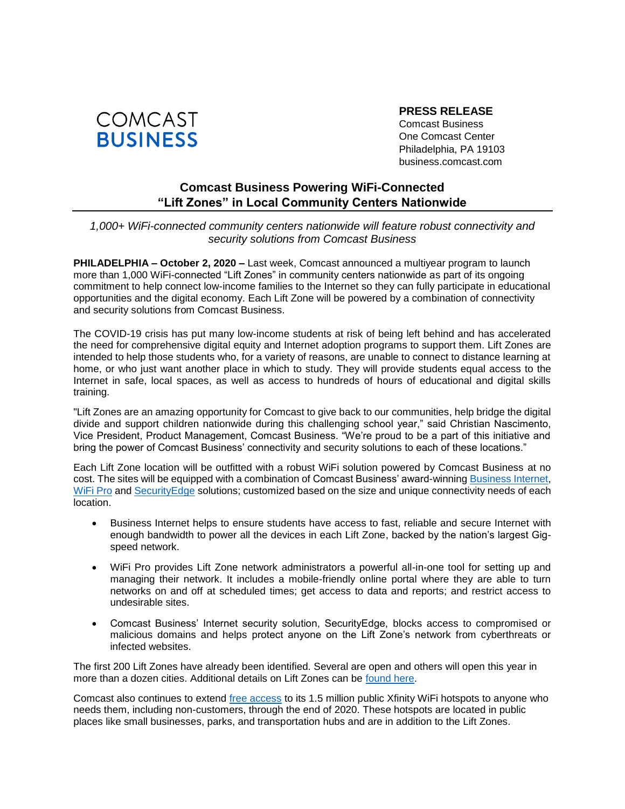

**PRESS RELEASE**

Comcast Business One Comcast Center Philadelphia, PA 19103 business.comcast.com

## **Comcast Business Powering WiFi-Connected "Lift Zones" in Local Community Centers Nationwide**

## *1,000+ WiFi-connected community centers nationwide will feature robust connectivity and security solutions from Comcast Business*

**PHILADELPHIA – October 2, 2020 –** Last week, Comcast announced a multiyear program to launch more than 1,000 WiFi-connected "Lift Zones" in community centers nationwide as part of its ongoing commitment to help connect low-income families to the Internet so they can fully participate in educational opportunities and the digital economy. Each Lift Zone will be powered by a combination of connectivity and security solutions from Comcast Business.

The COVID-19 crisis has put many low-income students at risk of being left behind and has accelerated the need for comprehensive digital equity and Internet adoption programs to support them. Lift Zones are intended to help those students who, for a variety of reasons, are unable to connect to distance learning at home, or who just want another place in which to study. They will provide students equal access to the Internet in safe, local spaces, as well as access to hundreds of hours of educational and digital skills training.

"Lift Zones are an amazing opportunity for Comcast to give back to our communities, help bridge the digital divide and support children nationwide during this challenging school year," said Christian Nascimento, Vice President, Product Management, Comcast Business. "We're proud to be a part of this initiative and bring the power of Comcast Business' connectivity and security solutions to each of these locations."

Each Lift Zone location will be outfitted with a robust WiFi solution powered by Comcast Business at no cost. The sites will be equipped with a combination of Comcast Business' award-winnin[g Business Internet,](https://business.comcast.com/learn/internet/business-internet) [WiFi Pro](https://business.comcast.com/learn/internet/wifi-pro) and Security Edge solutions; customized based on the size and unique connectivity needs of each location.

- Business Internet helps to ensure students have access to fast, reliable and secure Internet with enough bandwidth to power all the devices in each Lift Zone, backed by the nation's largest Gigspeed network.
- WiFi Pro provides Lift Zone network administrators a powerful all-in-one tool for setting up and managing their network. It includes a mobile-friendly online portal where they are able to turn networks on and off at scheduled times; get access to data and reports; and restrict access to undesirable sites.
- Comcast Business' Internet security solution, SecurityEdge, blocks access to compromised or malicious domains and helps protect anyone on the Lift Zone's network from cyberthreats or infected websites.

The first 200 Lift Zones have already been identified. Several are open and others will open this year in more than a dozen cities. Additional details on Lift Zones can be [found here.](https://corporate.comcast.com/press/releases/comcast-announces-1000--liftzones-in-community-centers-in-us-cities)

Comcast also continues to extend [free access](https://corporate.comcast.com/press/releases/comcast-extends-free-public-wifi-access-remainder-of-2020) to its 1.5 million public Xfinity WiFi hotspots to anyone who needs them, including non-customers, through the end of 2020. These hotspots are located in public places like small businesses, parks, and transportation hubs and are in addition to the Lift Zones.